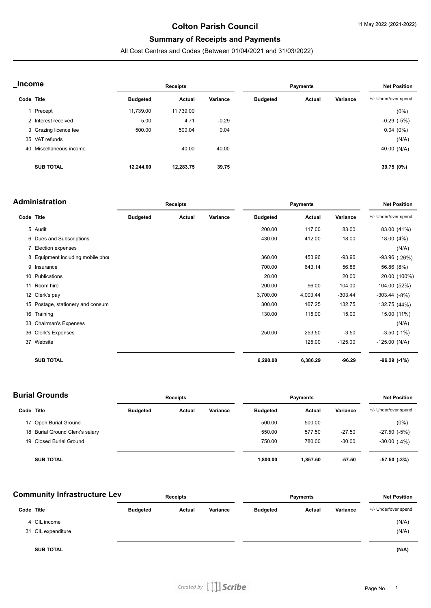### **Colton Parish Council**

# **Summary of Receipts and Payments**

All Cost Centres and Codes (Between 01/04/2021 and 31/03/2022)

| <b>Income</b> |                         | Receipts        |           |          | <b>Payments</b> |        |          | <b>Net Position</b>  |  |
|---------------|-------------------------|-----------------|-----------|----------|-----------------|--------|----------|----------------------|--|
| Code Title    |                         | <b>Budgeted</b> | Actual    | Variance | <b>Budgeted</b> | Actual | Variance | +/- Under/over spend |  |
|               | 1 Precept               | 11,739.00       | 11,739.00 |          |                 |        |          | (0%)                 |  |
|               | 2 Interest received     | 5.00            | 4.71      | $-0.29$  |                 |        |          | $-0.29$ $(-5%)$      |  |
|               | 3 Grazing licence fee   | 500.00          | 500.04    | 0.04     |                 |        |          | $0.04(0\%)$          |  |
|               | 35 VAT refunds          |                 |           |          |                 |        |          | (N/A)                |  |
|               | 40 Miscellaneous income |                 | 40.00     | 40.00    |                 |        |          | 40.00 (N/A)          |  |
|               | <b>SUB TOTAL</b>        | 12,244.00       | 12,283.75 | 39.75    |                 |        |          | 39.75 (0%)           |  |

| <b>Administration</b> |                                   | <b>Receipts</b> |        |          | <b>Payments</b> |          |           | <b>Net Position</b>  |  |
|-----------------------|-----------------------------------|-----------------|--------|----------|-----------------|----------|-----------|----------------------|--|
| Code Title            |                                   | <b>Budgeted</b> | Actual | Variance | <b>Budgeted</b> | Actual   | Variance  | +/- Under/over spend |  |
|                       | 5 Audit                           |                 |        |          | 200.00          | 117.00   | 83.00     | 83.00 (41%)          |  |
|                       | 6 Dues and Subscriptions          |                 |        |          | 430.00          | 412.00   | 18.00     | 18.00 (4%)           |  |
|                       | 7 Election expenses               |                 |        |          |                 |          |           | (N/A)                |  |
|                       | 8 Equipment including mobile phor |                 |        |          | 360.00          | 453.96   | $-93.96$  | $-93.96$ $(-26%)$    |  |
|                       | 9 Insurance                       |                 |        |          | 700.00          | 643.14   | 56.86     | 56.86 (8%)           |  |
|                       | 10 Publications                   |                 |        |          | 20.00           |          | 20.00     | 20.00 (100%)         |  |
|                       | 11 Room hire                      |                 |        |          | 200.00          | 96.00    | 104.00    | 104.00 (52%)         |  |
|                       | 12 Clerk's pay                    |                 |        |          | 3,700.00        | 4,003.44 | $-303.44$ | $-303.44$ $(-8%)$    |  |
|                       | 15 Postage, stationery and consum |                 |        |          | 300.00          | 167.25   | 132.75    | 132.75 (44%)         |  |
|                       | 16 Training                       |                 |        |          | 130.00          | 115.00   | 15.00     | 15.00 (11%)          |  |
|                       | 33 Chairman's Expenses            |                 |        |          |                 |          |           | (N/A)                |  |
|                       | 36 Clerk's Expenses               |                 |        |          | 250.00          | 253.50   | $-3.50$   | $-3.50$ $(-1%)$      |  |
|                       | 37 Website                        |                 |        |          |                 | 125.00   | $-125.00$ | $-125.00$ (N/A)      |  |
|                       | <b>SUB TOTAL</b>                  |                 |        |          | 6,290.00        | 6,386.29 | $-96.29$  | $-96.29$ $(-1%)$     |  |

| <b>Burial Grounds</b> |                                 | <b>Receipts</b> |        |          | <b>Payments</b> |          |          | <b>Net Position</b>  |  |
|-----------------------|---------------------------------|-----------------|--------|----------|-----------------|----------|----------|----------------------|--|
| Code Title            |                                 | <b>Budgeted</b> | Actual | Variance | <b>Budgeted</b> | Actual   | Variance | +/- Under/over spend |  |
|                       | 17 Open Burial Ground           |                 |        |          | 500.00          | 500.00   |          | $(0\%)$              |  |
|                       | 18 Burial Ground Clerk's salary |                 |        |          | 550.00          | 577.50   | $-27.50$ | $-27.50$ $(-5%)$     |  |
|                       | 19 Closed Burial Ground         |                 |        |          | 750.00          | 780.00   | $-30.00$ | $-30.00$ $(-4%)$     |  |
|                       | <b>SUB TOTAL</b>                |                 |        |          | 1,800.00        | 1,857.50 | -57.50   | -57.50 (-3%)         |  |

| <b>Community Infrastructure Lev</b> |                    | <b>Receipts</b> |        |          | <b>Payments</b> |        |          | <b>Net Position</b>  |  |
|-------------------------------------|--------------------|-----------------|--------|----------|-----------------|--------|----------|----------------------|--|
| Code Title                          |                    | <b>Budgeted</b> | Actual | Variance | <b>Budgeted</b> | Actual | Variance | +/- Under/over spend |  |
|                                     | 4 CIL income       |                 |        |          |                 |        |          | (N/A)                |  |
|                                     | 31 CIL expenditure |                 |        |          |                 |        |          | (N/A)                |  |
|                                     | <b>SUB TOTAL</b>   |                 |        |          |                 |        |          | (N/A)                |  |